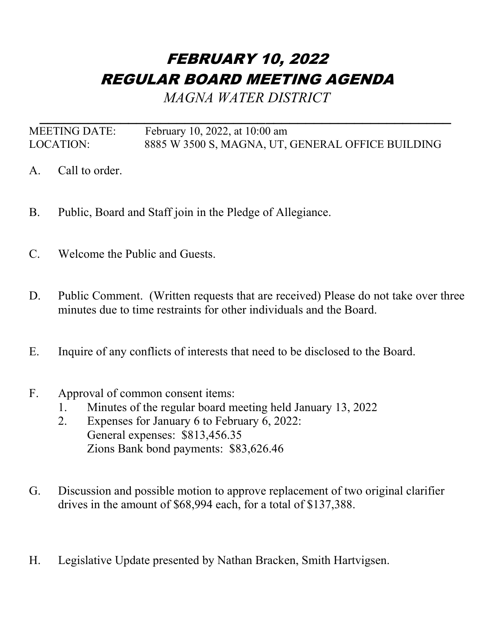## FEBRUARY 10, 2022 REGULAR BOARD MEETING AGENDA

*MAGNA WATER DISTRICT*

*\_\_\_\_\_\_\_\_\_\_\_\_\_\_\_\_\_\_\_\_\_\_\_\_\_\_\_\_\_\_\_\_\_\_\_\_\_\_\_\_\_\_\_\_\_\_\_\_\_\_\_* MEETING DATE: February 10, 2022, at 10:00 am LOCATION: 8885 W 3500 S, MAGNA, UT, GENERAL OFFICE BUILDING

- A. Call to order.
- B. Public, Board and Staff join in the Pledge of Allegiance.
- C. Welcome the Public and Guests.
- D. Public Comment. (Written requests that are received) Please do not take over three minutes due to time restraints for other individuals and the Board.
- E. Inquire of any conflicts of interests that need to be disclosed to the Board.
- F. Approval of common consent items:
	- 1. Minutes of the regular board meeting held January 13, 2022
	- 2. Expenses for January 6 to February 6, 2022: General expenses: \$813,456.35 Zions Bank bond payments: \$83,626.46
- G. Discussion and possible motion to approve replacement of two original clarifier drives in the amount of \$68,994 each, for a total of \$137,388.
- H. Legislative Update presented by Nathan Bracken, Smith Hartvigsen.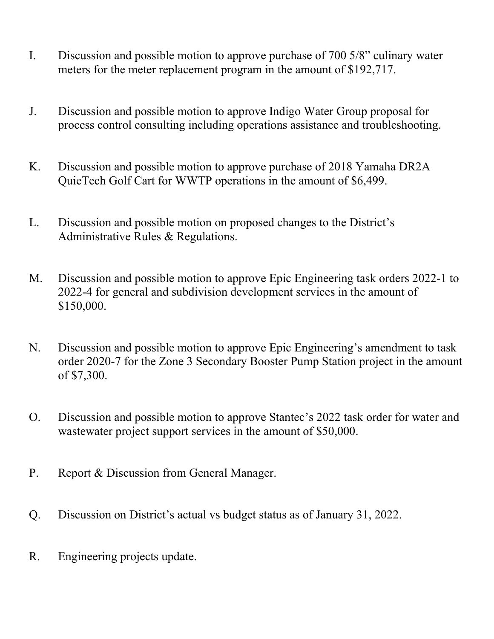- I. Discussion and possible motion to approve purchase of 700 5/8" culinary water meters for the meter replacement program in the amount of \$192,717.
- J. Discussion and possible motion to approve Indigo Water Group proposal for process control consulting including operations assistance and troubleshooting.
- K. Discussion and possible motion to approve purchase of 2018 Yamaha DR2A QuieTech Golf Cart for WWTP operations in the amount of \$6,499.
- L. Discussion and possible motion on proposed changes to the District's Administrative Rules & Regulations.
- M. Discussion and possible motion to approve Epic Engineering task orders 2022-1 to 2022-4 for general and subdivision development services in the amount of \$150,000.
- N. Discussion and possible motion to approve Epic Engineering's amendment to task order 2020-7 for the Zone 3 Secondary Booster Pump Station project in the amount of \$7,300.
- O. Discussion and possible motion to approve Stantec's 2022 task order for water and wastewater project support services in the amount of \$50,000.
- P. Report & Discussion from General Manager.
- Q. Discussion on District's actual vs budget status as of January 31, 2022.
- R. Engineering projects update.